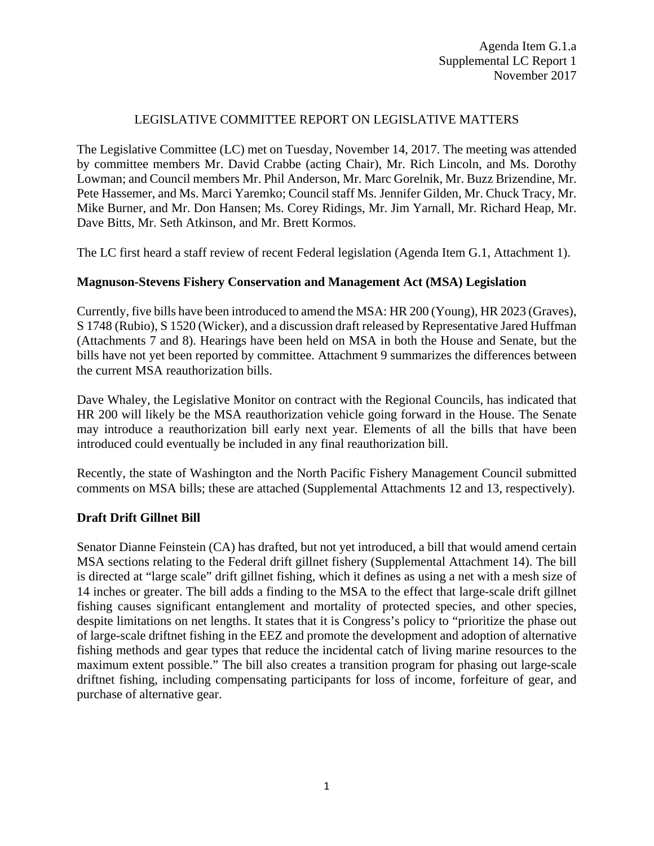# LEGISLATIVE COMMITTEE REPORT ON LEGISLATIVE MATTERS

The Legislative Committee (LC) met on Tuesday, November 14, 2017. The meeting was attended by committee members Mr. David Crabbe (acting Chair), Mr. Rich Lincoln, and Ms. Dorothy Lowman; and Council members Mr. Phil Anderson, Mr. Marc Gorelnik, Mr. Buzz Brizendine, Mr. Pete Hassemer, and Ms. Marci Yaremko; Council staff Ms. Jennifer Gilden, Mr. Chuck Tracy, Mr. Mike Burner, and Mr. Don Hansen; Ms. Corey Ridings, Mr. Jim Yarnall, Mr. Richard Heap, Mr. Dave Bitts, Mr. Seth Atkinson, and Mr. Brett Kormos.

The LC first heard a staff review of recent Federal legislation (Agenda Item G.1, Attachment 1).

### **Magnuson-Stevens Fishery Conservation and Management Act (MSA) Legislation**

Currently, five bills have been introduced to amend the MSA: HR 200 (Young), HR 2023 (Graves), S 1748 (Rubio), S 1520 (Wicker), and a discussion draft released by Representative Jared Huffman (Attachments 7 and 8). Hearings have been held on MSA in both the House and Senate, but the bills have not yet been reported by committee. Attachment 9 summarizes the differences between the current MSA reauthorization bills.

Dave Whaley, the Legislative Monitor on contract with the Regional Councils, has indicated that HR 200 will likely be the MSA reauthorization vehicle going forward in the House. The Senate may introduce a reauthorization bill early next year. Elements of all the bills that have been introduced could eventually be included in any final reauthorization bill.

Recently, the state of Washington and the North Pacific Fishery Management Council submitted comments on MSA bills; these are attached (Supplemental Attachments 12 and 13, respectively).

### **Draft Drift Gillnet Bill**

Senator Dianne Feinstein (CA) has drafted, but not yet introduced, a bill that would amend certain MSA sections relating to the Federal drift gillnet fishery (Supplemental Attachment 14). The bill is directed at "large scale" drift gillnet fishing, which it defines as using a net with a mesh size of 14 inches or greater. The bill adds a finding to the MSA to the effect that large-scale drift gillnet fishing causes significant entanglement and mortality of protected species, and other species, despite limitations on net lengths. It states that it is Congress's policy to "prioritize the phase out of large-scale driftnet fishing in the EEZ and promote the development and adoption of alternative fishing methods and gear types that reduce the incidental catch of living marine resources to the maximum extent possible." The bill also creates a transition program for phasing out large-scale driftnet fishing, including compensating participants for loss of income, forfeiture of gear, and purchase of alternative gear.